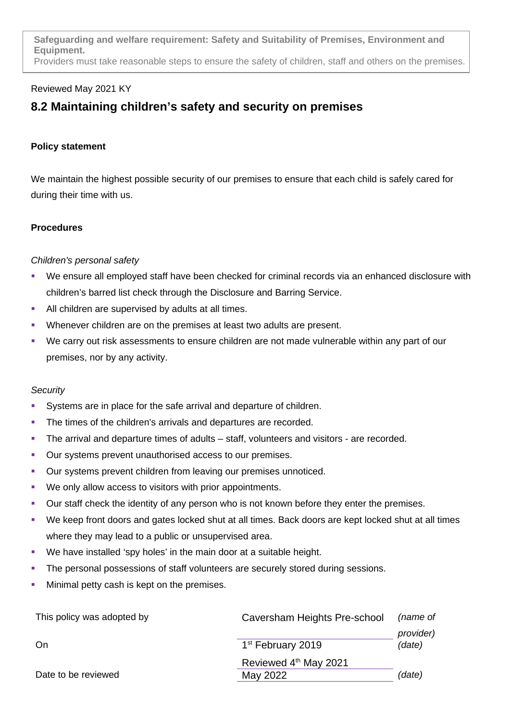**Safeguarding and welfare requirement: Safety and Suitability of Premises, Environment and Equipment.** Providers must take reasonable steps to ensure the safety of children, staff and others on the premises.

# Reviewed May 2021 KY

# **8.2 Maintaining children's safety and security on premises**

# **Policy statement**

We maintain the highest possible security of our premises to ensure that each child is safely cared for during their time with us.

#### **Procedures**

# *Children's personal safety*

- We ensure all employed staff have been checked for criminal records via an enhanced disclosure with children's barred list check through the Disclosure and Barring Service.
- All children are supervised by adults at all times.
- Whenever children are on the premises at least two adults are present.
- We carry out risk assessments to ensure children are not made vulnerable within any part of our premises, nor by any activity.

#### *Security*

- Systems are in place for the safe arrival and departure of children.
- The times of the children's arrivals and departures are recorded.
- The arrival and departure times of adults staff, volunteers and visitors are recorded.
- Our systems prevent unauthorised access to our premises.
- Our systems prevent children from leaving our premises unnoticed.
- We only allow access to visitors with prior appointments.
- Our staff check the identity of any person who is not known before they enter the premises.
- We keep front doors and gates locked shut at all times. Back doors are kept locked shut at all times where they may lead to a public or unsupervised area.
- **•** We have installed 'spy holes' in the main door at a suitable height.
- **The personal possessions of staff volunteers are securely stored during sessions.**
- **Minimal petty cash is kept on the premises.**

| This policy was adopted by | Caversham Heights Pre-school  | (name of  |
|----------------------------|-------------------------------|-----------|
|                            |                               | provider) |
| On                         | 1 <sup>st</sup> February 2019 | (date)    |
|                            | Reviewed 4th May 2021         |           |
| Date to be reviewed        | May 2022                      | (date)    |